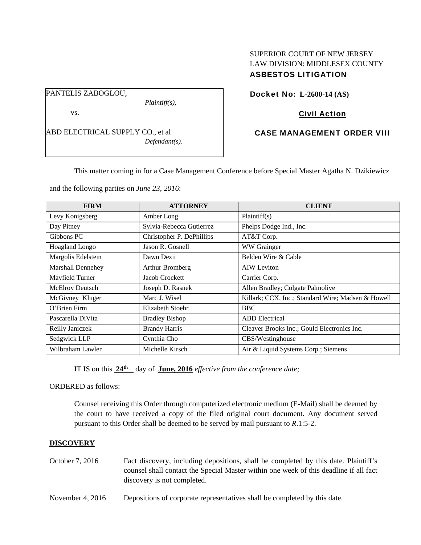#### PANTELIS ZABOGLOU,

*Plaintiff(s),* 

vs.

ABD ELECTRICAL SUPPLY CO., et al *Defendant(s).* 

# SUPERIOR COURT OF NEW JERSEY LAW DIVISION: MIDDLESEX COUNTY ASBESTOS LITIGATION

Docket No: **L-2600-14 (AS)** 

# Civil Action

# CASE MANAGEMENT ORDER VIII

This matter coming in for a Case Management Conference before Special Master Agatha N. Dzikiewicz

and the following parties on *June 23, 2016*:

| <b>FIRM</b>        | <b>ATTORNEY</b>           | <b>CLIENT</b>                                      |
|--------------------|---------------------------|----------------------------------------------------|
| Levy Konigsberg    | Amber Long                | Plaintiff(s)                                       |
| Day Pitney         | Sylvia-Rebecca Gutierrez  | Phelps Dodge Ind., Inc.                            |
| Gibbons PC         | Christopher P. DePhillips | AT&T Corp.                                         |
| Hoagland Longo     | Jason R. Gosnell          | WW Grainger                                        |
| Margolis Edelstein | Dawn Dezii                | Belden Wire & Cable                                |
| Marshall Dennehey  | <b>Arthur Bromberg</b>    | <b>AIW</b> Leviton                                 |
| Mayfield Turner    | Jacob Crockett            | Carrier Corp.                                      |
| McElroy Deutsch    | Joseph D. Rasnek          | Allen Bradley; Colgate Palmolive                   |
| McGivney Kluger    | Marc J. Wisel             | Killark; CCX, Inc.; Standard Wire; Madsen & Howell |
| O'Brien Firm       | Elizabeth Stoehr          | <b>BBC</b>                                         |
| Pascarella DiVita  | <b>Bradley Bishop</b>     | <b>ABD</b> Electrical                              |
| Reilly Janiczek    | <b>Brandy Harris</b>      | Cleaver Brooks Inc.; Gould Electronics Inc.        |
| Sedgwick LLP       | Cynthia Cho               | CBS/Westinghouse                                   |
| Wilbraham Lawler   | Michelle Kirsch           | Air & Liquid Systems Corp.; Siemens                |

IT IS on this  $24^{\text{th}}$  day of **June, 2016** *effective from the conference date;* 

ORDERED as follows:

Counsel receiving this Order through computerized electronic medium (E-Mail) shall be deemed by the court to have received a copy of the filed original court document. Any document served pursuant to this Order shall be deemed to be served by mail pursuant to *R*.1:5-2.

## **DISCOVERY**

- October 7, 2016 Fact discovery, including depositions, shall be completed by this date. Plaintiff's counsel shall contact the Special Master within one week of this deadline if all fact discovery is not completed.
- November 4, 2016 Depositions of corporate representatives shall be completed by this date.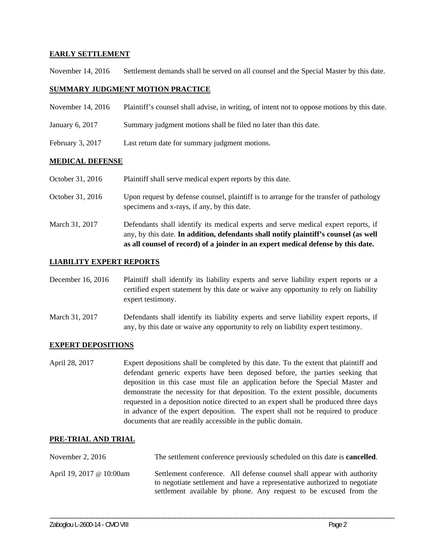### **EARLY SETTLEMENT**

November 14, 2016 Settlement demands shall be served on all counsel and the Special Master by this date.

#### **SUMMARY JUDGMENT MOTION PRACTICE**

| November 14, 2016  | Plaintiff's counsel shall advise, in writing, of intent not to oppose motions by this date. |
|--------------------|---------------------------------------------------------------------------------------------|
| January 6, 2017    | Summary judgment motions shall be filed no later than this date.                            |
| February $3, 2017$ | Last return date for summary judgment motions.                                              |

#### **MEDICAL DEFENSE**

| October 31, 2016 | Plaintiff shall serve medical expert reports by this date. |  |
|------------------|------------------------------------------------------------|--|
|                  |                                                            |  |

- October 31, 2016 Upon request by defense counsel, plaintiff is to arrange for the transfer of pathology specimens and x-rays, if any, by this date.
- March 31, 2017 Defendants shall identify its medical experts and serve medical expert reports, if any, by this date. **In addition, defendants shall notify plaintiff's counsel (as well as all counsel of record) of a joinder in an expert medical defense by this date.**

### **LIABILITY EXPERT REPORTS**

- December 16, 2016 Plaintiff shall identify its liability experts and serve liability expert reports or a certified expert statement by this date or waive any opportunity to rely on liability expert testimony.
- March 31, 2017 Defendants shall identify its liability experts and serve liability expert reports, if any, by this date or waive any opportunity to rely on liability expert testimony.

#### **EXPERT DEPOSITIONS**

April 28, 2017 Expert depositions shall be completed by this date. To the extent that plaintiff and defendant generic experts have been deposed before, the parties seeking that deposition in this case must file an application before the Special Master and demonstrate the necessity for that deposition. To the extent possible, documents requested in a deposition notice directed to an expert shall be produced three days in advance of the expert deposition. The expert shall not be required to produce documents that are readily accessible in the public domain.

## **PRE-TRIAL AND TRIAL**

| November 2, $2016$       | The settlement conference previously scheduled on this date is <b>cancelled</b> .                                                                                                                                        |
|--------------------------|--------------------------------------------------------------------------------------------------------------------------------------------------------------------------------------------------------------------------|
| April 19, 2017 @ 10:00am | Settlement conference. All defense counsel shall appear with authority<br>to negotiate settlement and have a representative authorized to negotiate<br>settlement available by phone. Any request to be excused from the |

\_\_\_\_\_\_\_\_\_\_\_\_\_\_\_\_\_\_\_\_\_\_\_\_\_\_\_\_\_\_\_\_\_\_\_\_\_\_\_\_\_\_\_\_\_\_\_\_\_\_\_\_\_\_\_\_\_\_\_\_\_\_\_\_\_\_\_\_\_\_\_\_\_\_\_\_\_\_\_\_\_\_\_\_\_\_\_\_\_\_\_\_\_\_\_\_\_\_\_\_\_\_\_\_\_\_\_\_\_\_